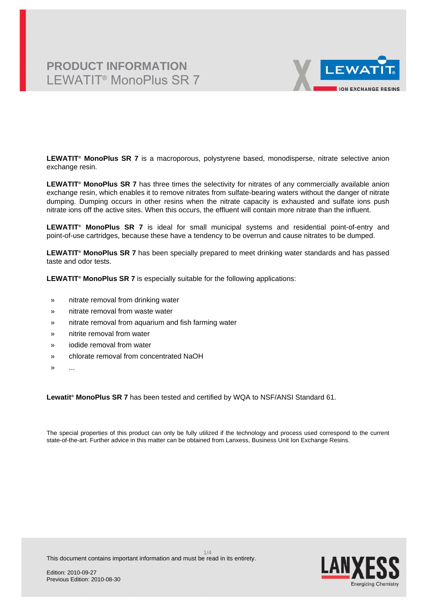# **PRODUCT INFORMATION** LEWATIT® MonoPlus SR 7



**LEWATIT® MonoPlus SR 7** is a macroporous, polystyrene based, monodisperse, nitrate selective anion exchange resin.

**LEWATIT® MonoPlus SR 7** has three times the selectivity for nitrates of any commercially available anion exchange resin, which enables it to remove nitrates from sulfate-bearing waters without the danger of nitrate dumping. Dumping occurs in other resins when the nitrate capacity is exhausted and sulfate ions push nitrate ions off the active sites. When this occurs, the effluent will contain more nitrate than the influent.

**LEWATIT® MonoPlus SR 7** is ideal for small municipal systems and residential point-of-entry and point-of-use cartridges, because these have a tendency to be overrun and cause nitrates to be dumped.

**LEWATIT® MonoPlus SR 7** has been specially prepared to meet drinking water standards and has passed taste and odor tests.

**LEWATIT® MonoPlus SR 7** is especially suitable for the following applications:

- » nitrate removal from drinking water
- » nitrate removal from waste water
- » nitrate removal from aquarium and fish farming water
- » nitrite removal from water
- » iodide removal from water
- » chlorate removal from concentrated NaOH
- $\mathbf{v}$

**Lewatit® MonoPlus SR 7** has been tested and certified by WQA to NSF/ANSI Standard 61.

The special properties of this product can only be fully utilized if the technology and process used correspond to the current state-of-the-art. Further advice in this matter can be obtained from Lanxess, Business Unit Ion Exchange Resins.



This document contains important information and must be read in its entirety.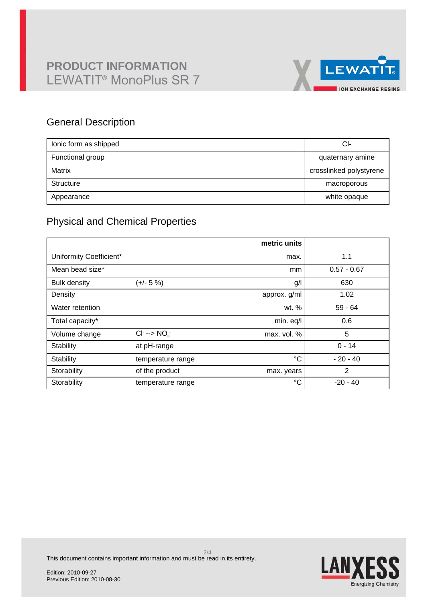# **PRODUCT INFORMATION** LEWATIT® MonoPlus SR 7



## General Description

| lonic form as shipped | CI-                     |
|-----------------------|-------------------------|
| Functional group      | quaternary amine        |
| Matrix                | crosslinked polystyrene |
| Structure             | macroporous             |
| Appearance            | white opaque            |

## Physical and Chemical Properties

|                         |                         | metric units |                |
|-------------------------|-------------------------|--------------|----------------|
| Uniformity Coefficient* |                         | max.         | 1.1            |
| Mean bead size*         |                         | mm           | $0.57 - 0.67$  |
| <b>Bulk density</b>     | (+/- 5 %)               | g/l          | 630            |
| Density                 |                         | approx. g/ml | 1.02           |
| Water retention         |                         | wt. %        | $59 - 64$      |
| Total capacity*         |                         | min. eq/l    | 0.6            |
| Volume change           | $Cl^- \rightarrow NO^-$ | max. vol. %  | 5              |
| Stability               | at pH-range             |              | $0 - 14$       |
| Stability               | temperature range       | °C           | $-20 - 40$     |
| Storability             | of the product          | max. years   | $\overline{2}$ |
| Storability             | temperature range       | $^{\circ}C$  | $-20 - 40$     |

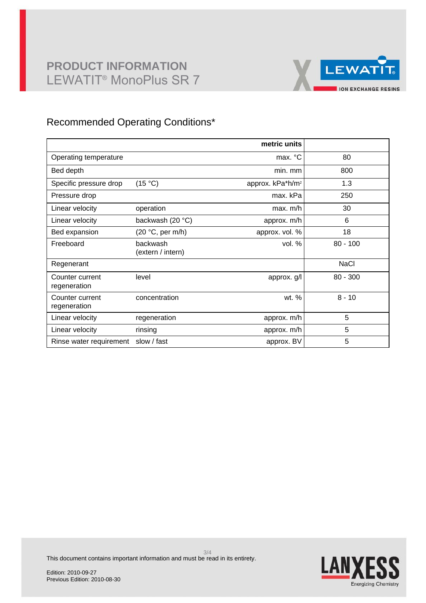# **PRODUCT INFORMATION** LEWATIT® MonoPlus SR 7



## Recommended Operating Conditions\*

|                                 |                               | metric units                 |             |
|---------------------------------|-------------------------------|------------------------------|-------------|
| Operating temperature           |                               | max. °C                      | 80          |
| Bed depth                       |                               | min. mm                      | 800         |
| Specific pressure drop          | (15 °C)                       | approx. kPa*h/m <sup>2</sup> | 1.3         |
| Pressure drop                   |                               | max. kPa                     | 250         |
| Linear velocity                 | operation                     | max. m/h                     | 30          |
| Linear velocity                 | backwash (20 °C)              | approx. m/h                  | 6           |
| Bed expansion                   | $(20 °C, \text{per m/h})$     | approx. vol. %               | 18          |
| Freeboard                       | backwash<br>(extern / intern) | vol. $%$                     | $80 - 100$  |
| Regenerant                      |                               |                              | <b>NaCl</b> |
| Counter current<br>regeneration | level                         | approx. g/l                  | $80 - 300$  |
| Counter current<br>regeneration | concentration                 | wt. %                        | $8 - 10$    |
| Linear velocity                 | regeneration                  | approx. m/h                  | 5           |
| Linear velocity                 | rinsing                       | approx. m/h                  | 5           |
| Rinse water requirement         | slow / fast                   | approx. BV                   | 5           |



This document contains important information and must be read in its entirety.